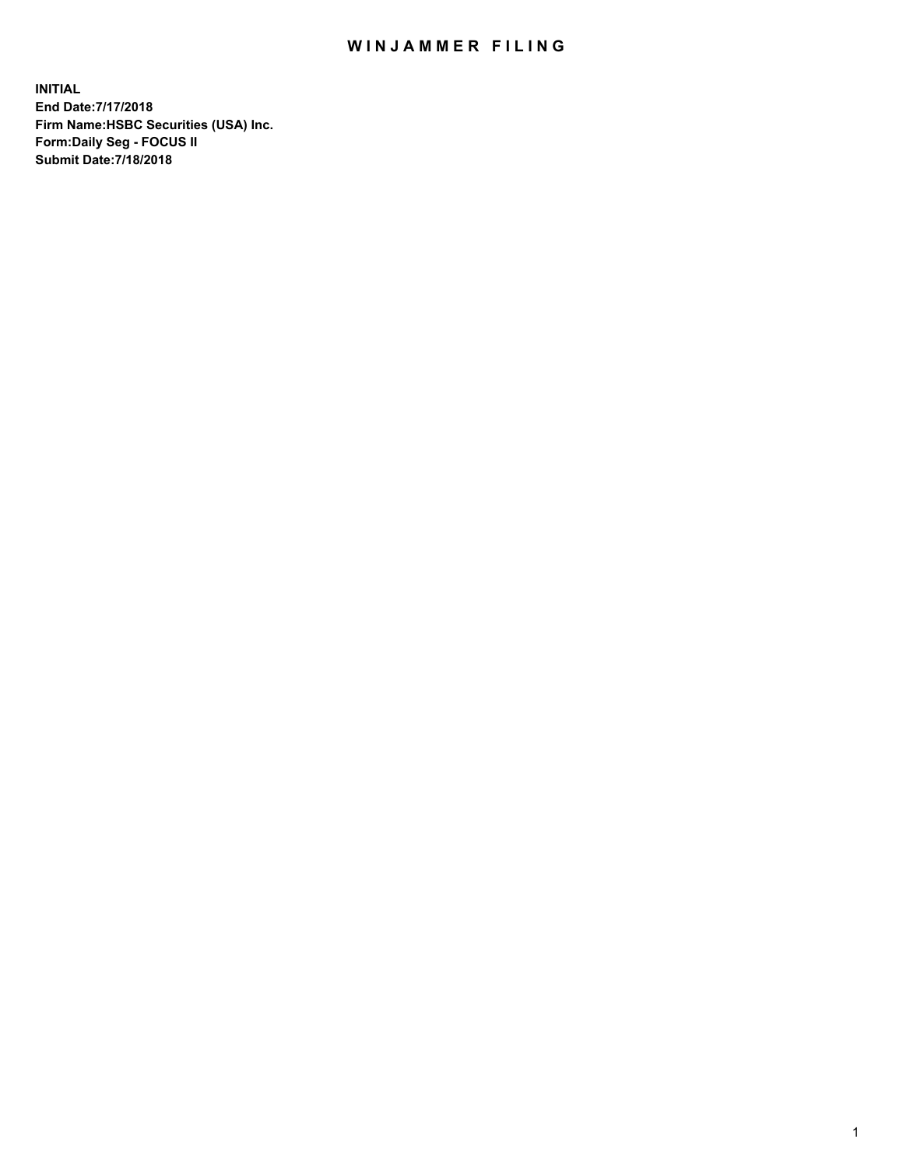## WIN JAMMER FILING

**INITIAL End Date:7/17/2018 Firm Name:HSBC Securities (USA) Inc. Form:Daily Seg - FOCUS II Submit Date:7/18/2018**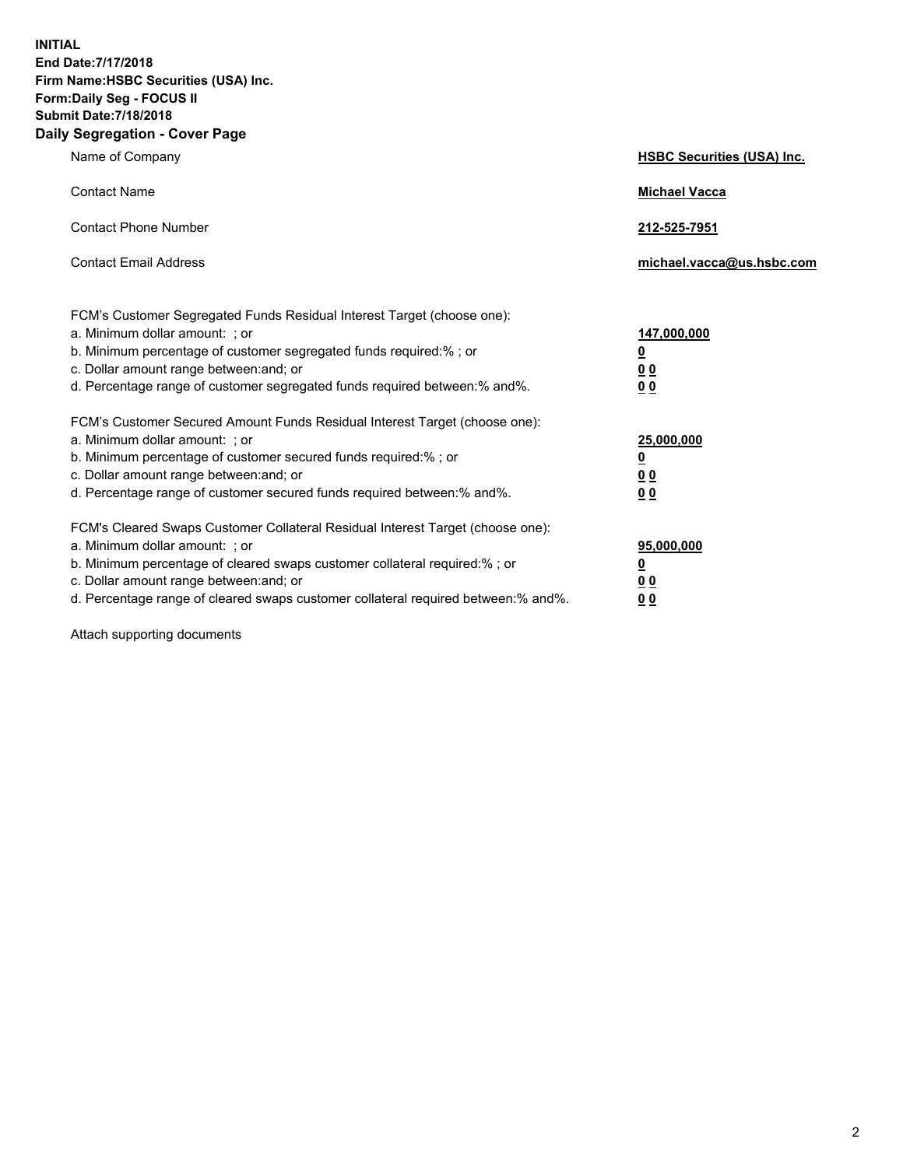**INITIAL End Date:7/17/2018 Firm Name:HSBC Securities (USA) Inc. Form:Daily Seg - FOCUS II Submit Date:7/18/2018 Daily Segregation - Cover Page**

| Name of Company                                                                                                                                                                                                                                                                                                               | <b>HSBC Securities (USA) Inc.</b>                           |
|-------------------------------------------------------------------------------------------------------------------------------------------------------------------------------------------------------------------------------------------------------------------------------------------------------------------------------|-------------------------------------------------------------|
| <b>Contact Name</b>                                                                                                                                                                                                                                                                                                           | <b>Michael Vacca</b>                                        |
| <b>Contact Phone Number</b>                                                                                                                                                                                                                                                                                                   | 212-525-7951                                                |
| <b>Contact Email Address</b>                                                                                                                                                                                                                                                                                                  | michael.vacca@us.hsbc.com                                   |
| FCM's Customer Segregated Funds Residual Interest Target (choose one):<br>a. Minimum dollar amount: ; or<br>b. Minimum percentage of customer segregated funds required:%; or<br>c. Dollar amount range between: and; or<br>d. Percentage range of customer segregated funds required between:% and%.                         | 147,000,000<br><u>0</u><br>0 <sub>0</sub><br>0 <sub>0</sub> |
| FCM's Customer Secured Amount Funds Residual Interest Target (choose one):<br>a. Minimum dollar amount: ; or<br>b. Minimum percentage of customer secured funds required:%; or<br>c. Dollar amount range between: and; or<br>d. Percentage range of customer secured funds required between:% and%.                           | 25,000,000<br><u>0</u><br>0 <sub>0</sub><br>0 <sub>0</sub>  |
| FCM's Cleared Swaps Customer Collateral Residual Interest Target (choose one):<br>a. Minimum dollar amount: ; or<br>b. Minimum percentage of cleared swaps customer collateral required:%; or<br>c. Dollar amount range between: and; or<br>d. Percentage range of cleared swaps customer collateral required between:% and%. | 95,000,000<br><u>0</u><br><u>00</u><br>00                   |

Attach supporting documents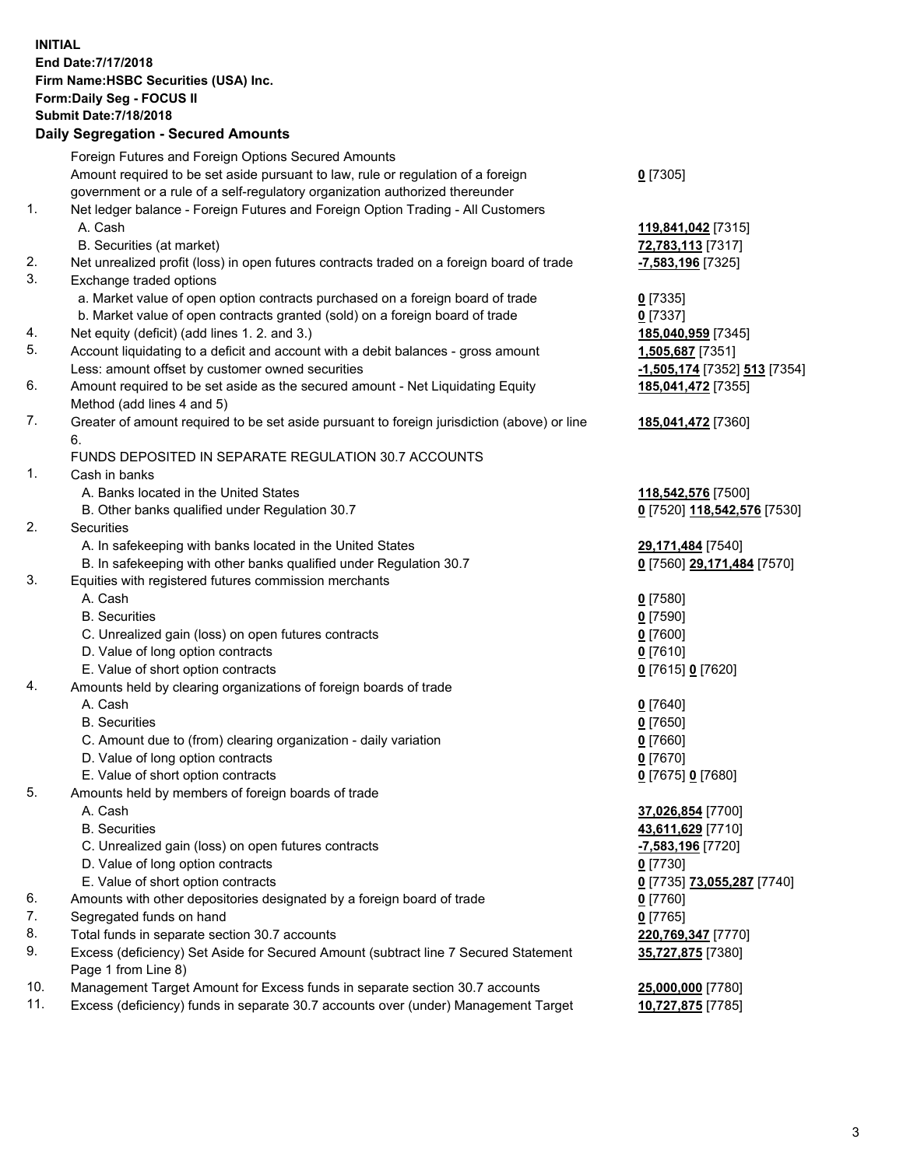**INITIAL End Date:7/17/2018 Firm Name:HSBC Securities (USA) Inc. Form:Daily Seg - FOCUS II Submit Date:7/18/2018 Daily Segregation - Secured Amounts**

|     | Foreign Futures and Foreign Options Secured Amounts<br>Amount required to be set aside pursuant to law, rule or regulation of a foreign |                              |
|-----|-----------------------------------------------------------------------------------------------------------------------------------------|------------------------------|
|     | government or a rule of a self-regulatory organization authorized thereunder                                                            | $0$ [7305]                   |
| 1.  | Net ledger balance - Foreign Futures and Foreign Option Trading - All Customers                                                         |                              |
|     | A. Cash                                                                                                                                 | 119,841,042 [7315]           |
|     | B. Securities (at market)                                                                                                               | 72,783,113 [7317]            |
| 2.  | Net unrealized profit (loss) in open futures contracts traded on a foreign board of trade                                               | -7,583,196 [7325]            |
| 3.  | Exchange traded options                                                                                                                 |                              |
|     | a. Market value of open option contracts purchased on a foreign board of trade                                                          | $0$ [7335]                   |
|     | b. Market value of open contracts granted (sold) on a foreign board of trade                                                            | $0$ [7337]                   |
| 4.  | Net equity (deficit) (add lines 1. 2. and 3.)                                                                                           | 185,040,959 [7345]           |
| 5.  | Account liquidating to a deficit and account with a debit balances - gross amount                                                       | 1,505,687 [7351]             |
|     | Less: amount offset by customer owned securities                                                                                        | -1,505,174 [7352] 513 [7354] |
| 6.  | Amount required to be set aside as the secured amount - Net Liquidating Equity                                                          | 185,041,472 [7355]           |
|     | Method (add lines 4 and 5)                                                                                                              |                              |
| 7.  | Greater of amount required to be set aside pursuant to foreign jurisdiction (above) or line                                             | 185,041,472 [7360]           |
|     | 6.                                                                                                                                      |                              |
|     | FUNDS DEPOSITED IN SEPARATE REGULATION 30.7 ACCOUNTS                                                                                    |                              |
| 1.  | Cash in banks                                                                                                                           |                              |
|     | A. Banks located in the United States                                                                                                   | 118,542,576 [7500]           |
|     | B. Other banks qualified under Regulation 30.7                                                                                          | 0 [7520] 118,542,576 [7530]  |
| 2.  | Securities                                                                                                                              |                              |
|     | A. In safekeeping with banks located in the United States                                                                               | 29,171,484 [7540]            |
|     | B. In safekeeping with other banks qualified under Regulation 30.7                                                                      | 0 [7560] 29,171,484 [7570]   |
| 3.  | Equities with registered futures commission merchants                                                                                   |                              |
|     | A. Cash                                                                                                                                 | $0$ [7580]                   |
|     | <b>B.</b> Securities                                                                                                                    | $0$ [7590]                   |
|     | C. Unrealized gain (loss) on open futures contracts                                                                                     | $0$ [7600]                   |
|     | D. Value of long option contracts                                                                                                       | $0$ [7610]                   |
|     | E. Value of short option contracts                                                                                                      | 0 [7615] 0 [7620]            |
| 4.  | Amounts held by clearing organizations of foreign boards of trade                                                                       |                              |
|     | A. Cash                                                                                                                                 | $0$ [7640]                   |
|     | <b>B.</b> Securities                                                                                                                    | $0$ [7650]                   |
|     | C. Amount due to (from) clearing organization - daily variation                                                                         | $0$ [7660]                   |
|     | D. Value of long option contracts                                                                                                       | $0$ [7670]                   |
|     | E. Value of short option contracts                                                                                                      | 0 [7675] 0 [7680]            |
| 5.  | Amounts held by members of foreign boards of trade                                                                                      |                              |
|     | A. Cash                                                                                                                                 | 37,026,854 [7700]            |
|     | <b>B.</b> Securities                                                                                                                    | 43,611,629 [7710]            |
|     | C. Unrealized gain (loss) on open futures contracts                                                                                     | -7,583,196 [7720]            |
|     | D. Value of long option contracts                                                                                                       | $0$ [7730]                   |
|     | E. Value of short option contracts                                                                                                      | 0 [7735] 73,055,287 [7740]   |
| 6.  | Amounts with other depositories designated by a foreign board of trade                                                                  | 0 [7760]                     |
| 7.  | Segregated funds on hand                                                                                                                | $0$ [7765]                   |
| 8.  | Total funds in separate section 30.7 accounts                                                                                           | 220,769,347 [7770]           |
| 9.  | Excess (deficiency) Set Aside for Secured Amount (subtract line 7 Secured Statement                                                     | 35,727,875 [7380]            |
|     | Page 1 from Line 8)                                                                                                                     |                              |
| 10. | Management Target Amount for Excess funds in separate section 30.7 accounts                                                             | 25,000,000 [7780]            |
| 11. | Excess (deficiency) funds in separate 30.7 accounts over (under) Management Target                                                      | 10,727,875 [7785]            |
|     |                                                                                                                                         |                              |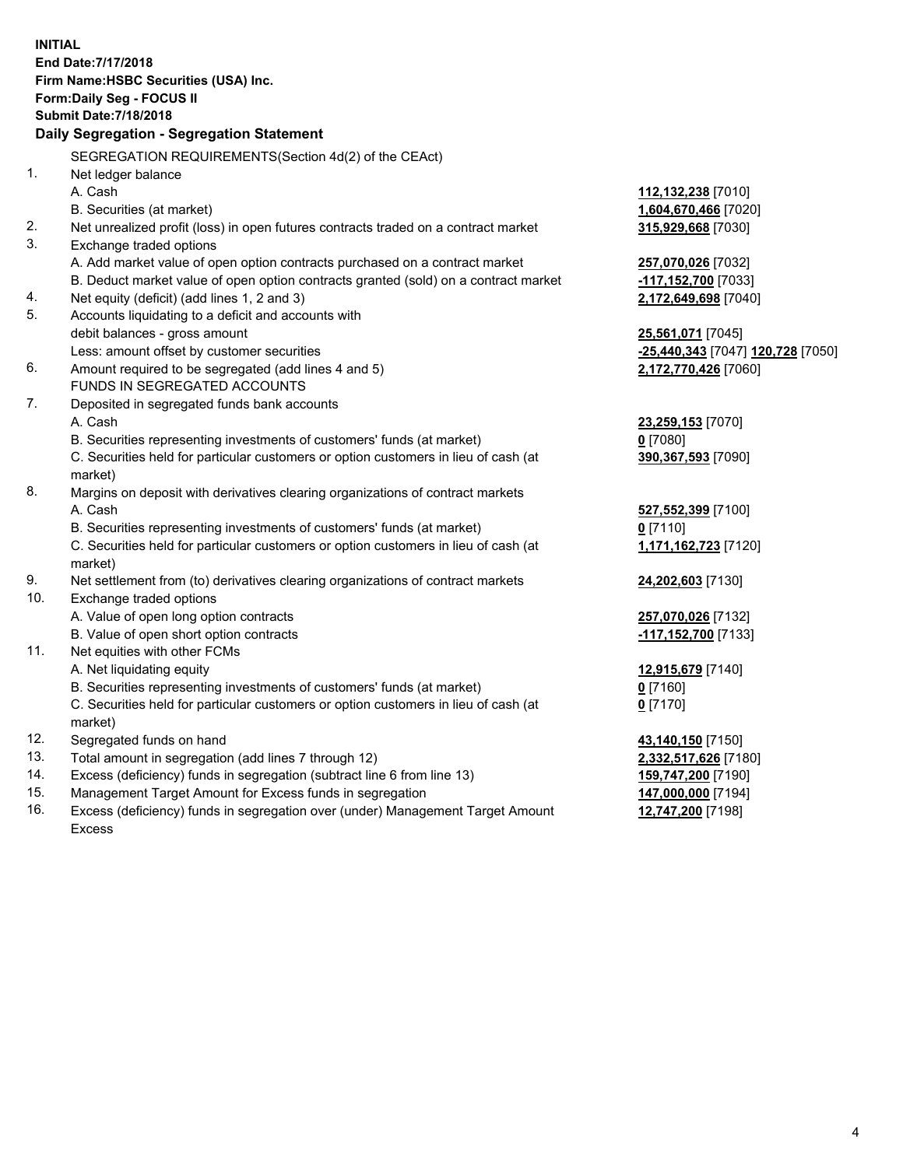|     | <b>INITIAL</b><br>End Date: 7/17/2018<br>Firm Name: HSBC Securities (USA) Inc.<br><b>Form:Daily Seg - FOCUS II</b><br><b>Submit Date: 7/18/2018</b><br>Daily Segregation - Segregation Statement |                                   |
|-----|--------------------------------------------------------------------------------------------------------------------------------------------------------------------------------------------------|-----------------------------------|
|     | SEGREGATION REQUIREMENTS (Section 4d(2) of the CEAct)                                                                                                                                            |                                   |
| 1.  | Net ledger balance                                                                                                                                                                               |                                   |
|     | A. Cash                                                                                                                                                                                          | 112,132,238 [7010]                |
|     | B. Securities (at market)                                                                                                                                                                        | 1,604,670,466 [7020]              |
| 2.  | Net unrealized profit (loss) in open futures contracts traded on a contract market                                                                                                               | 315,929,668 [7030]                |
| 3.  | Exchange traded options                                                                                                                                                                          |                                   |
|     | A. Add market value of open option contracts purchased on a contract market                                                                                                                      | 257,070,026 [7032]                |
|     | B. Deduct market value of open option contracts granted (sold) on a contract market                                                                                                              | $-117,152,700$ [7033]             |
| 4.  | Net equity (deficit) (add lines 1, 2 and 3)                                                                                                                                                      | 2,172,649,698 [7040]              |
| 5.  | Accounts liquidating to a deficit and accounts with                                                                                                                                              |                                   |
|     | debit balances - gross amount                                                                                                                                                                    | <u>25,561,071</u> [7045]          |
|     | Less: amount offset by customer securities                                                                                                                                                       | -25,440,343 [7047] 120,728 [7050] |
| 6.  | Amount required to be segregated (add lines 4 and 5)                                                                                                                                             | 2,172,770,426 [7060]              |
|     | FUNDS IN SEGREGATED ACCOUNTS                                                                                                                                                                     |                                   |
| 7.  | Deposited in segregated funds bank accounts                                                                                                                                                      |                                   |
|     | A. Cash                                                                                                                                                                                          | 23,259,153 [7070]                 |
|     | B. Securities representing investments of customers' funds (at market)                                                                                                                           | 0 [7080]                          |
|     | C. Securities held for particular customers or option customers in lieu of cash (at<br>market)                                                                                                   | 390,367,593 [7090]                |
| 8.  | Margins on deposit with derivatives clearing organizations of contract markets                                                                                                                   |                                   |
|     | A. Cash                                                                                                                                                                                          | 527,552,399 [7100]                |
|     | B. Securities representing investments of customers' funds (at market)                                                                                                                           | $0$ [7110]                        |
|     | C. Securities held for particular customers or option customers in lieu of cash (at<br>market)                                                                                                   | 1,171,162,723 [7120]              |
| 9.  | Net settlement from (to) derivatives clearing organizations of contract markets                                                                                                                  | <b>24,202,603</b> [7130]          |
| 10. | Exchange traded options                                                                                                                                                                          |                                   |
|     | A. Value of open long option contracts                                                                                                                                                           | 257,070,026 [7132]                |
|     | B. Value of open short option contracts                                                                                                                                                          | -117,152,700 [7133]               |
| 11. | Net equities with other FCMs                                                                                                                                                                     |                                   |
|     | A. Net liquidating equity                                                                                                                                                                        | 12,915,679 [7140]                 |
|     | B. Securities representing investments of customers' funds (at market)                                                                                                                           | $0$ [7160]                        |
|     | C. Securities held for particular customers or option customers in lieu of cash (at                                                                                                              | $0$ [7170]                        |
|     | market)                                                                                                                                                                                          |                                   |
| 12. | Segregated funds on hand                                                                                                                                                                         | 43,140,150 [7150]                 |
| 13. | Total amount in segregation (add lines 7 through 12)                                                                                                                                             | 2,332,517,626 [7180]              |
| 14. | Excess (deficiency) funds in segregation (subtract line 6 from line 13)                                                                                                                          | 159,747,200 [7190]                |
| 15. | Management Target Amount for Excess funds in segregation                                                                                                                                         | 147,000,000 [7194]                |

16. Excess (deficiency) funds in segregation over (under) Management Target Amount Excess

**12,747,200** [7198]